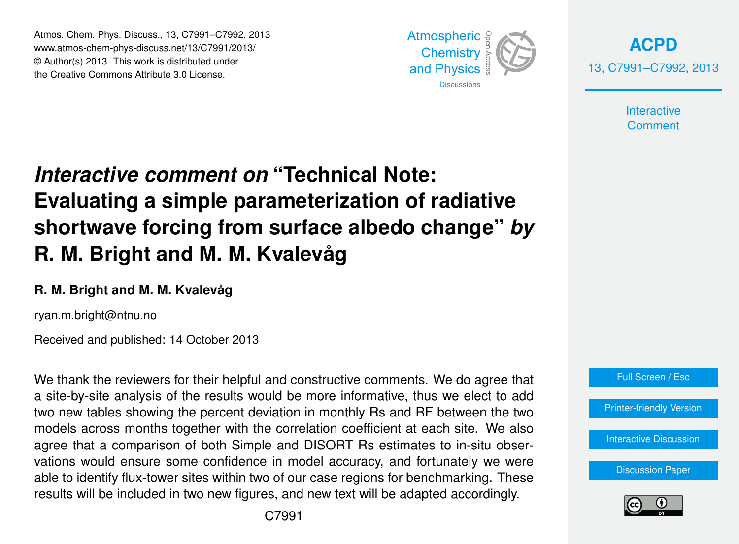Atmos. Chem. Phys. Discuss., 13, C7991–C7992, 2013 Atmospheric www.atmos-chem-phys-discuss.net/13/C7991/2013/<br>@ Author(a) 2012, This work is distributed under © Author(s) 2013. This work is distributed under the Creative Commons Attribute 3.0 License.



**[ACPD](http://www.atmos-chem-phys-discuss.net)** 13, C7991–C7992, 2013

> Interactive **Comment**

## Biogeosciences ،<br>a .<br>Ci *Interactive comment on "*Technical Note: **Evaluating a simple parameterization of radiative** NA LZ R. M. Bright and M. M. Kvalevåg ه<br>۱ Open Access Climate **shortwave forcing from surface albedo change"** *by*

## **R. M. Bright and M. M. Kvalevåg**

ryan.m.bright@ntnu.no

Received and published: 14 October 2013

We thank the reviewers for their helpful and constructive comments. We do agree that a site-by-site analysis of the results would be more informative, thus we elect to add two new tables showing the percent deviation in monthly Rs and RF between the two ın<br>ıld<br>. gi<br>Ct models across months together with the correlation coefficient at each site. We also agree that a comparison of both Simple and DISORT Rs estimates to in-situ observations would ensure some confidence in model accuracy, and fortunately we were  $\frac{1}{2}$ -<br>U<br>~ able to identify flux-tower sites within two of our case regions for benchmarking. These Hydrology and Hydrology and results will be included in two new figures, and new text will be adapted accordingly.





Earth System